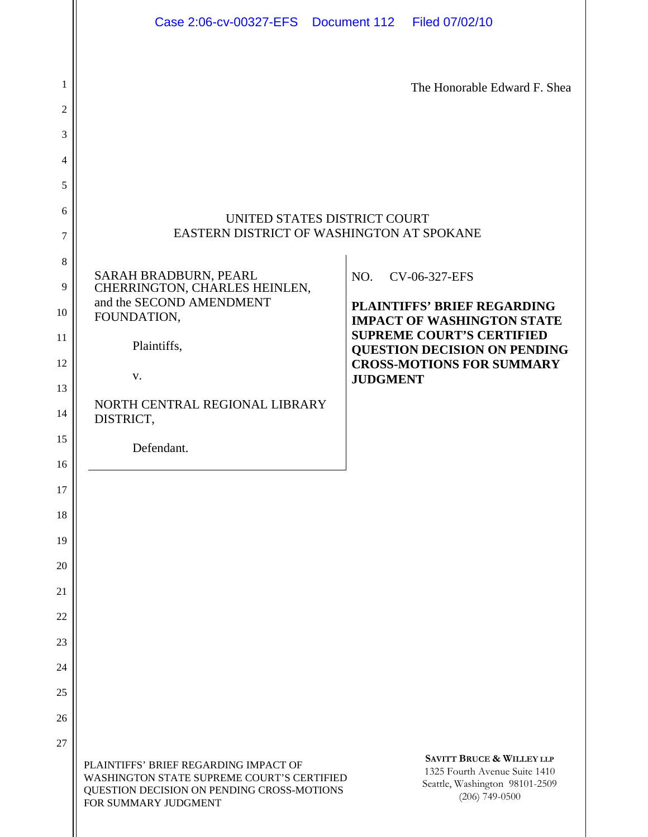| Case 2:06-cv-00327-EFS  Document 112  Filed 07/02/10                                                                                                                                |                                                                                                                                                                                                                            |
|-------------------------------------------------------------------------------------------------------------------------------------------------------------------------------------|----------------------------------------------------------------------------------------------------------------------------------------------------------------------------------------------------------------------------|
|                                                                                                                                                                                     | The Honorable Edward F. Shea                                                                                                                                                                                               |
|                                                                                                                                                                                     |                                                                                                                                                                                                                            |
|                                                                                                                                                                                     |                                                                                                                                                                                                                            |
|                                                                                                                                                                                     |                                                                                                                                                                                                                            |
| UNITED STATES DISTRICT COURT<br>EASTERN DISTRICT OF WASHINGTON AT SPOKANE                                                                                                           |                                                                                                                                                                                                                            |
| SARAH BRADBURN, PEARL<br>CHERRINGTON, CHARLES HEINLEN,<br>and the SECOND AMENDMENT<br>FOUNDATION,<br>Plaintiffs,<br>V.<br>NORTH CENTRAL REGIONAL LIBRARY<br>DISTRICT,<br>Defendant. | NO.<br>CV-06-327-EFS<br><b>PLAINTIFFS' BRIEF REGARDING</b><br><b>IMPACT OF WASHINGTON STATE</b><br><b>SUPREME COURT'S CERTIFIED</b><br>QUESTION DECISION ON PENDING<br><b>CROSS-MOTIONS FOR SUMMARY</b><br><b>JUDGMENT</b> |
| PLAINTIFFS' BRIEF REGARDING IMPACT OF<br>WASHINGTON STATE SUPREME COURT'S CERTIFIED<br>QUESTION DECISION ON PENDING CROSS-MOTIONS<br>FOR SUMMARY JUDGMENT                           | <b>SAVITT BRUCE &amp; WILLEY LLP</b><br>1325 Fourth Avenue Suite 1410<br>Seattle, Washington 98101-2509<br>$(206)$ 749-0500                                                                                                |
|                                                                                                                                                                                     |                                                                                                                                                                                                                            |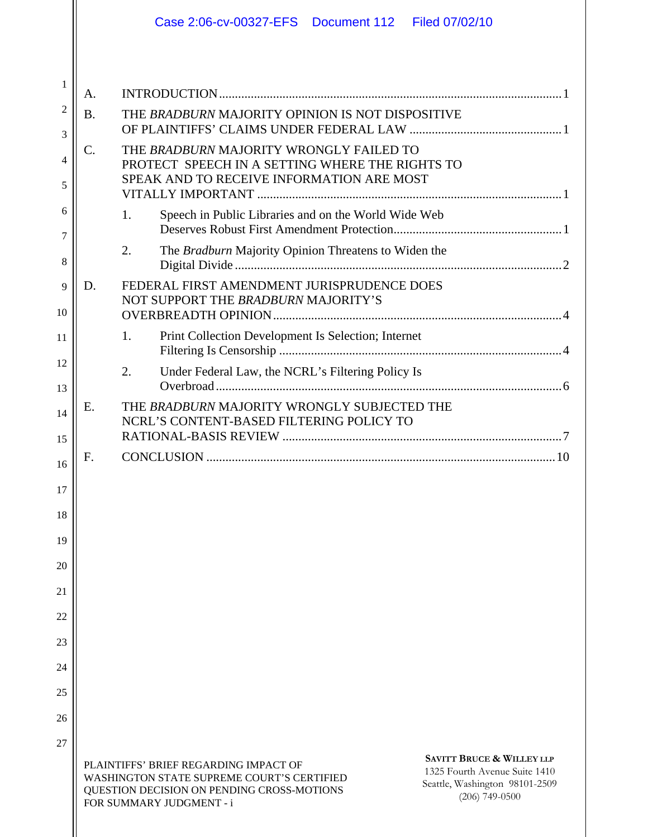|          |           | Case 2:06-cv-00327-EFS  Document 112  Filed 07/02/10                                                                                                                                                                                                                                         |
|----------|-----------|----------------------------------------------------------------------------------------------------------------------------------------------------------------------------------------------------------------------------------------------------------------------------------------------|
|          |           |                                                                                                                                                                                                                                                                                              |
| 1        | A.        |                                                                                                                                                                                                                                                                                              |
| 2<br>3   | <b>B.</b> | THE BRADBURN MAJORITY OPINION IS NOT DISPOSITIVE                                                                                                                                                                                                                                             |
| 4        | C.        | THE BRADBURN MAJORITY WRONGLY FAILED TO                                                                                                                                                                                                                                                      |
| 5        |           | PROTECT SPEECH IN A SETTING WHERE THE RIGHTS TO<br>SPEAK AND TO RECEIVE INFORMATION ARE MOST                                                                                                                                                                                                 |
| 6        |           | Speech in Public Libraries and on the World Wide Web<br>1.                                                                                                                                                                                                                                   |
| 7<br>8   |           | 2.<br>The Bradburn Majority Opinion Threatens to Widen the                                                                                                                                                                                                                                   |
| 9        | D.        | FEDERAL FIRST AMENDMENT JURISPRUDENCE DOES                                                                                                                                                                                                                                                   |
| 10       |           | NOT SUPPORT THE BRADBURN MAJORITY'S                                                                                                                                                                                                                                                          |
| 11       |           | 1.<br>Print Collection Development Is Selection; Internet                                                                                                                                                                                                                                    |
| 12<br>13 |           | 2.<br>Under Federal Law, the NCRL's Filtering Policy Is                                                                                                                                                                                                                                      |
| 14       | Ε.        | THE BRADBURN MAJORITY WRONGLY SUBJECTED THE<br>NCRL'S CONTENT-BASED FILTERING POLICY TO                                                                                                                                                                                                      |
| 15       |           |                                                                                                                                                                                                                                                                                              |
| 16       | F.        |                                                                                                                                                                                                                                                                                              |
| 17       |           |                                                                                                                                                                                                                                                                                              |
| 18       |           |                                                                                                                                                                                                                                                                                              |
| 19<br>20 |           |                                                                                                                                                                                                                                                                                              |
| 21       |           |                                                                                                                                                                                                                                                                                              |
| 22       |           |                                                                                                                                                                                                                                                                                              |
| 23       |           |                                                                                                                                                                                                                                                                                              |
| 24       |           |                                                                                                                                                                                                                                                                                              |
| 25       |           |                                                                                                                                                                                                                                                                                              |
| 26       |           |                                                                                                                                                                                                                                                                                              |
| 27       |           |                                                                                                                                                                                                                                                                                              |
|          |           | <b>SAVITT BRUCE &amp; WILLEY LLP</b><br>PLAINTIFFS' BRIEF REGARDING IMPACT OF<br>1325 Fourth Avenue Suite 1410<br>WASHINGTON STATE SUPREME COURT'S CERTIFIED<br>Seattle, Washington 98101-2509<br>QUESTION DECISION ON PENDING CROSS-MOTIONS<br>$(206)$ 749-0500<br>FOR SUMMARY JUDGMENT - i |
|          |           |                                                                                                                                                                                                                                                                                              |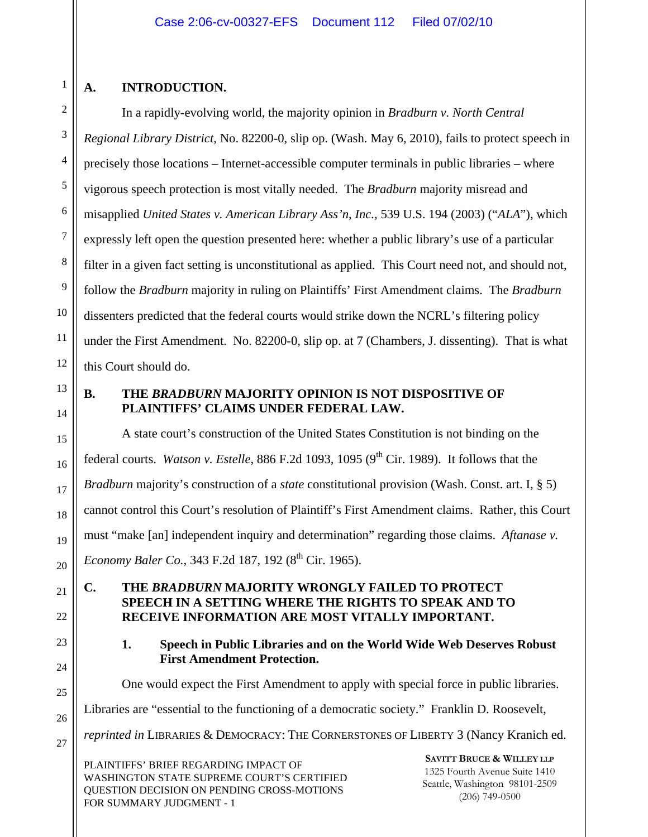# **A. INTRODUCTION.**

In a rapidly-evolving world, the majority opinion in *Bradburn v. North Central Regional Library District*, No. 82200-0, slip op. (Wash. May 6, 2010), fails to protect speech in precisely those locations – Internet-accessible computer terminals in public libraries – where vigorous speech protection is most vitally needed. The *Bradburn* majority misread and misapplied *United States v. American Library Ass'n, Inc.*, 539 U.S. 194 (2003) ("*ALA*"), which expressly left open the question presented here: whether a public library's use of a particular filter in a given fact setting is unconstitutional as applied. This Court need not, and should not, follow the *Bradburn* majority in ruling on Plaintiffs' First Amendment claims. The *Bradburn* dissenters predicted that the federal courts would strike down the NCRL's filtering policy under the First Amendment. No. 82200-0, slip op. at 7 (Chambers, J. dissenting). That is what this Court should do.

13

14

15

16

17

18

19

20

21

22

23

24

25

26

27

1

2

3

4

5

6

7

8

9

10

11

12

# **B. THE** *BRADBURN* **MAJORITY OPINION IS NOT DISPOSITIVE OF PLAINTIFFS' CLAIMS UNDER FEDERAL LAW.**

A state court's construction of the United States Constitution is not binding on the federal courts. *Watson v. Estelle*, 886 F.2d 1093, 1095 (9<sup>th</sup> Cir. 1989). It follows that the *Bradburn* majority's construction of a *state* constitutional provision (Wash. Const. art. I, § 5) cannot control this Court's resolution of Plaintiff's First Amendment claims. Rather, this Court must "make [an] independent inquiry and determination" regarding those claims. *Aftanase v. Economy Baler Co.*, 343 F.2d 187, 192 (8<sup>th</sup> Cir. 1965).

# **C. THE** *BRADBURN* **MAJORITY WRONGLY FAILED TO PROTECT SPEECH IN A SETTING WHERE THE RIGHTS TO SPEAK AND TO RECEIVE INFORMATION ARE MOST VITALLY IMPORTANT.**

**1. Speech in Public Libraries and on the World Wide Web Deserves Robust First Amendment Protection.** 

One would expect the First Amendment to apply with special force in public libraries.

Libraries are "essential to the functioning of a democratic society." Franklin D. Roosevelt,

*reprinted in* LIBRARIES & DEMOCRACY: THE CORNERSTONES OF LIBERTY 3 (Nancy Kranich ed.

PLAINTIFFS' BRIEF REGARDING IMPACT OF WASHINGTON STATE SUPREME COURT'S CERTIFIED QUESTION DECISION ON PENDING CROSS-MOTIONS FOR SUMMARY JUDGMENT - 1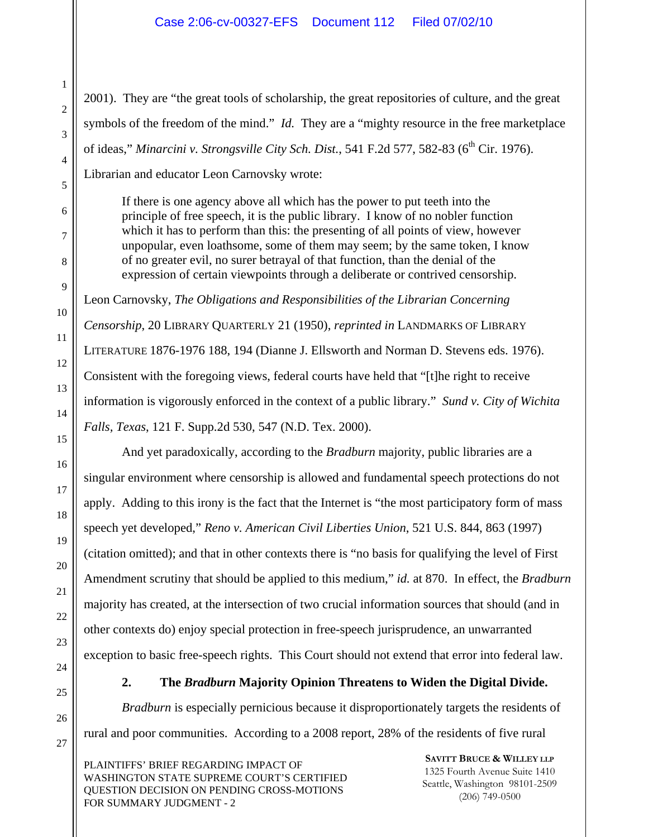2001). They are "the great tools of scholarship, the great repositories of culture, and the great symbols of the freedom of the mind." *Id.* They are a "mighty resource in the free marketplace of ideas," Minarcini v. Strongsville City Sch. Dist., 541 F.2d 577, 582-83 (6<sup>th</sup> Cir. 1976).

Librarian and educator Leon Carnovsky wrote:

If there is one agency above all which has the power to put teeth into the principle of free speech, it is the public library. I know of no nobler function which it has to perform than this: the presenting of all points of view, however unpopular, even loathsome, some of them may seem; by the same token, I know of no greater evil, no surer betrayal of that function, than the denial of the expression of certain viewpoints through a deliberate or contrived censorship.

Leon Carnovsky, *The Obligations and Responsibilities of the Librarian Concerning* 

*Censorship*, 20 LIBRARY QUARTERLY 21 (1950), *reprinted in* LANDMARKS OF LIBRARY LITERATURE 1876-1976 188, 194 (Dianne J. Ellsworth and Norman D. Stevens eds. 1976). Consistent with the foregoing views, federal courts have held that "[t]he right to receive information is vigorously enforced in the context of a public library." *Sund v. City of Wichita Falls, Texas*, 121 F. Supp.2d 530, 547 (N.D. Tex. 2000).

And yet paradoxically, according to the *Bradburn* majority, public libraries are a singular environment where censorship is allowed and fundamental speech protections do not apply. Adding to this irony is the fact that the Internet is "the most participatory form of mass speech yet developed," *Reno v. American Civil Liberties Union*, 521 U.S. 844, 863 (1997) (citation omitted); and that in other contexts there is "no basis for qualifying the level of First Amendment scrutiny that should be applied to this medium," *id.* at 870. In effect, the *Bradburn* majority has created, at the intersection of two crucial information sources that should (and in other contexts do) enjoy special protection in free-speech jurisprudence, an unwarranted exception to basic free-speech rights. This Court should not extend that error into federal law.

**2. The** *Bradburn* **Majority Opinion Threatens to Widen the Digital Divide.** 

*Bradburn* is especially pernicious because it disproportionately targets the residents of rural and poor communities. According to a 2008 report, 28% of the residents of five rural

PLAINTIFFS' BRIEF REGARDING IMPACT OF WASHINGTON STATE SUPREME COURT'S CERTIFIED QUESTION DECISION ON PENDING CROSS-MOTIONS FOR SUMMARY JUDGMENT - 2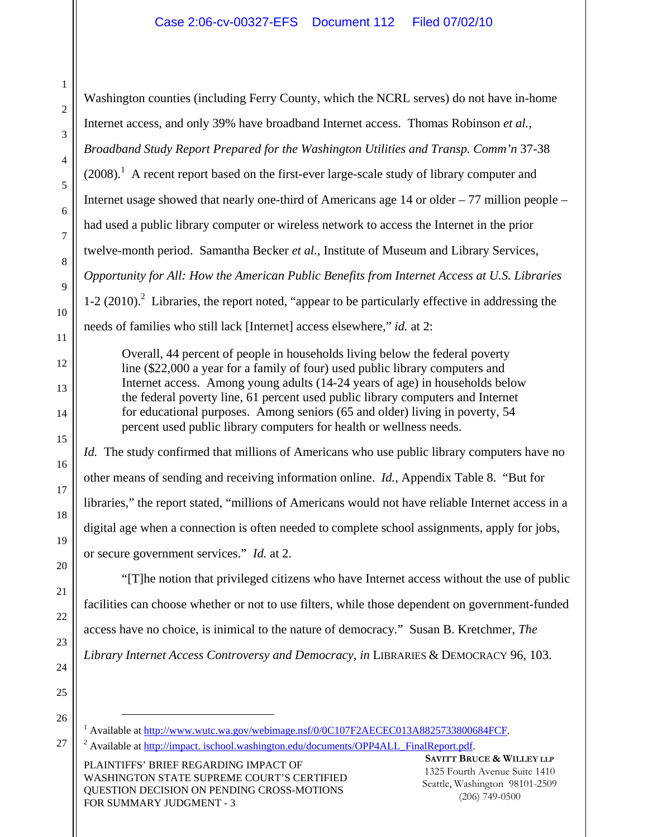Washington counties (including Ferry County, which the NCRL serves) do not have in-home Internet access, and only 39% have broadband Internet access. Thomas Robinson *et al.*, *Broadband Study Report Prepared for the Washington Utilities and Transp. Comm'n* 37-38  $(2008).$ <sup>1</sup> A recent report based on the first-ever large-scale study of library computer and Internet usage showed that nearly one-third of Americans age 14 or older – 77 million people – had used a public library computer or wireless network to access the Internet in the prior twelve-month period. Samantha Becker *et al.*, Institute of Museum and Library Services, *Opportunity for All: How the American Public Benefits from Internet Access at U.S. Libraries*  $1-2$  (2010).<sup>2</sup> Libraries, the report noted, "appear to be particularly effective in addressing the needs of families who still lack [Internet] access elsewhere," *id.* at 2:

Overall, 44 percent of people in households living below the federal poverty line (\$22,000 a year for a family of four) used public library computers and Internet access. Among young adults (14-24 years of age) in households below the federal poverty line, 61 percent used public library computers and Internet for educational purposes. Among seniors (65 and older) living in poverty, 54 percent used public library computers for health or wellness needs.

*Id.* The study confirmed that millions of Americans who use public library computers have no other means of sending and receiving information online. *Id.*, Appendix Table 8. "But for libraries," the report stated, "millions of Americans would not have reliable Internet access in a digital age when a connection is often needed to complete school assignments, apply for jobs, or secure government services." *Id.* at 2.

"[T]he notion that privileged citizens who have Internet access without the use of public facilities can choose whether or not to use filters, while those dependent on government-funded access have no choice, is inimical to the nature of democracy." Susan B. Kretchmer, *The Library Internet Access Controversy and Democracy, in* LIBRARIES & DEMOCRACY 96, 103.

PLAINTIFFS' BRIEF REGARDING IMPACT OF WASHINGTON STATE SUPREME COURT'S CERTIFIED QUESTION DECISION ON PENDING CROSS-MOTIONS FOR SUMMARY JUDGMENT - 3

 $\frac{1}{1}$  Aveilable <sup>1</sup> Available at <u>http://www.wutc.wa.gov/webimage.nsf/0/0C107F2AECEC013A8825733800684FCF.<br><sup>2</sup> Available at http://impect.jagbool.webington.cdu/documents/OBB4ALL\_EinelBeport.pdf.</u>

<sup>&</sup>lt;sup>2</sup> Available at http://impact. ischool.washington.edu/documents/OPP4ALL\_FinalReport.pdf.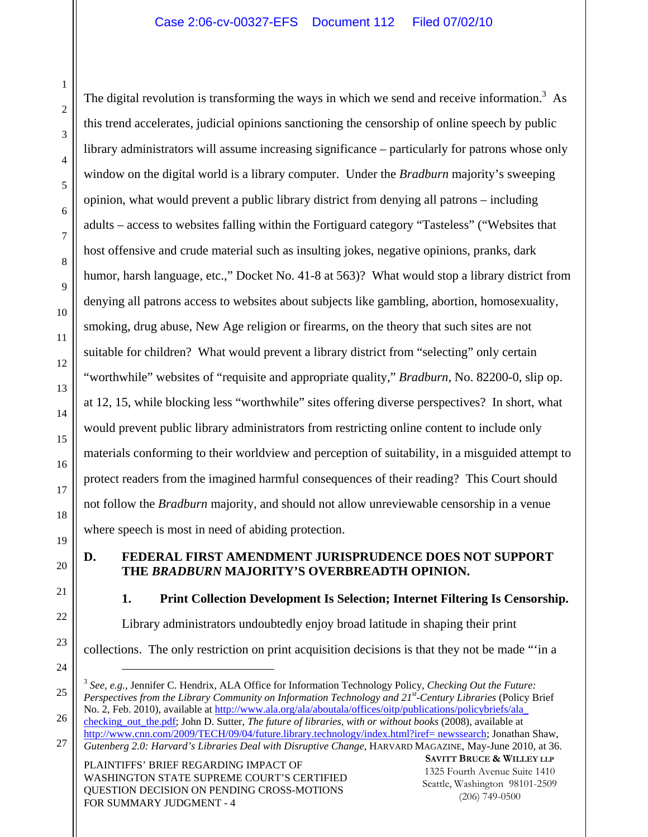The digital revolution is transforming the ways in which we send and receive information.<sup>3</sup> As this trend accelerates, judicial opinions sanctioning the censorship of online speech by public library administrators will assume increasing significance – particularly for patrons whose only window on the digital world is a library computer. Under the *Bradburn* majority's sweeping opinion, what would prevent a public library district from denying all patrons – including adults – access to websites falling within the Fortiguard category "Tasteless" ("Websites that host offensive and crude material such as insulting jokes, negative opinions, pranks, dark humor, harsh language, etc.," Docket No. 41-8 at 563)? What would stop a library district from denying all patrons access to websites about subjects like gambling, abortion, homosexuality, smoking, drug abuse, New Age religion or firearms, on the theory that such sites are not suitable for children? What would prevent a library district from "selecting" only certain "worthwhile" websites of "requisite and appropriate quality," *Bradburn*, No. 82200-0, slip op. at 12, 15, while blocking less "worthwhile" sites offering diverse perspectives? In short, what would prevent public library administrators from restricting online content to include only materials conforming to their worldview and perception of suitability, in a misguided attempt to protect readers from the imagined harmful consequences of their reading? This Court should not follow the *Bradburn* majority, and should not allow unreviewable censorship in a venue where speech is most in need of abiding protection.

#### **D. FEDERAL FIRST AMENDMENT JURISPRUDENCE DOES NOT SUPPORT THE** *BRADBURN* **MAJORITY'S OVERBREADTH OPINION.**

**1. Print Collection Development Is Selection; Internet Filtering Is Censorship.** 

Library administrators undoubtedly enjoy broad latitude in shaping their print

collections. The only restriction on print acquisition decisions is that they not be made "'in a

PLAINTIFFS' BRIEF REGARDING IMPACT OF WASHINGTON STATE SUPREME COURT'S CERTIFIED QUESTION DECISION ON PENDING CROSS-MOTIONS FOR SUMMARY JUDGMENT - 4

1

 <sup>3</sup> *See, e.g.*, Jennifer C. Hendrix, ALA Office for Information Technology Policy, *Checking Out the Future: Perspectives from the Library Community on Information Technology and 21st-Century Libraries* (Policy Brief No. 2, Feb. 2010), available at http://www.ala.org/ala/aboutala/offices/oitp/publications/policybriefs/ala\_

<sup>27</sup>  checking out the.pdf; John D. Sutter, *The future of libraries, with or without books* (2008), available at http://www.cnn.com/2009/TECH/09/04/future.library.technology/index.html?iref= newssearch; Jonathan Shaw, *Gutenberg 2.0: Harvard's Libraries Deal with Disruptive Change*, HARVARD MAGAZINE, May-June 2010, at 36.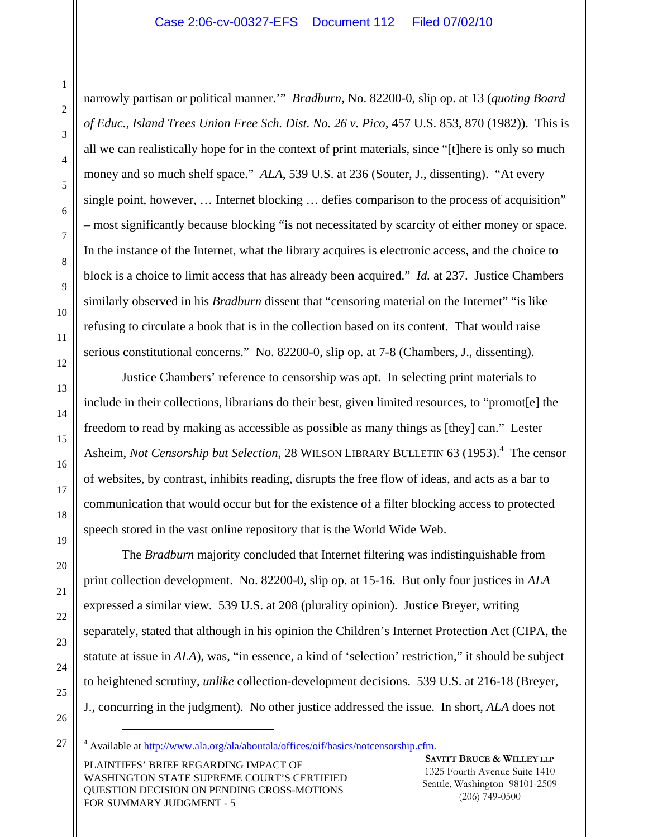narrowly partisan or political manner.'" *Bradburn*, No. 82200-0, slip op. at 13 (*quoting Board of Educ., Island Trees Union Free Sch. Dist. No. 26 v. Pico*, 457 U.S. 853, 870 (1982)). This is all we can realistically hope for in the context of print materials, since "[t]here is only so much money and so much shelf space." *ALA*, 539 U.S. at 236 (Souter, J., dissenting). "At every single point, however, … Internet blocking … defies comparison to the process of acquisition" – most significantly because blocking "is not necessitated by scarcity of either money or space. In the instance of the Internet, what the library acquires is electronic access, and the choice to block is a choice to limit access that has already been acquired." *Id.* at 237. Justice Chambers similarly observed in his *Bradburn* dissent that "censoring material on the Internet" "is like refusing to circulate a book that is in the collection based on its content. That would raise serious constitutional concerns." No. 82200-0, slip op. at 7-8 (Chambers, J., dissenting).

Justice Chambers' reference to censorship was apt. In selecting print materials to include in their collections, librarians do their best, given limited resources, to "promot[e] the freedom to read by making as accessible as possible as many things as [they] can." Lester Asheim, *Not Censorship but Selection*, 28 WILSON LIBRARY BULLETIN 63 (1953).<sup>4</sup> The censor of websites, by contrast, inhibits reading, disrupts the free flow of ideas, and acts as a bar to communication that would occur but for the existence of a filter blocking access to protected speech stored in the vast online repository that is the World Wide Web.

The *Bradburn* majority concluded that Internet filtering was indistinguishable from print collection development. No. 82200-0, slip op. at 15-16. But only four justices in *ALA* expressed a similar view. 539 U.S. at 208 (plurality opinion). Justice Breyer, writing separately, stated that although in his opinion the Children's Internet Protection Act (CIPA, the statute at issue in *ALA*), was, "in essence, a kind of 'selection' restriction," it should be subject to heightened scrutiny, *unlike* collection-development decisions. 539 U.S. at 216-18 (Breyer, J., concurring in the judgment). No other justice addressed the issue. In short, *ALA* does not

4 Available at http://www.ala.org/ala/aboutala/offices/oif/basics/notcensorship.cfm.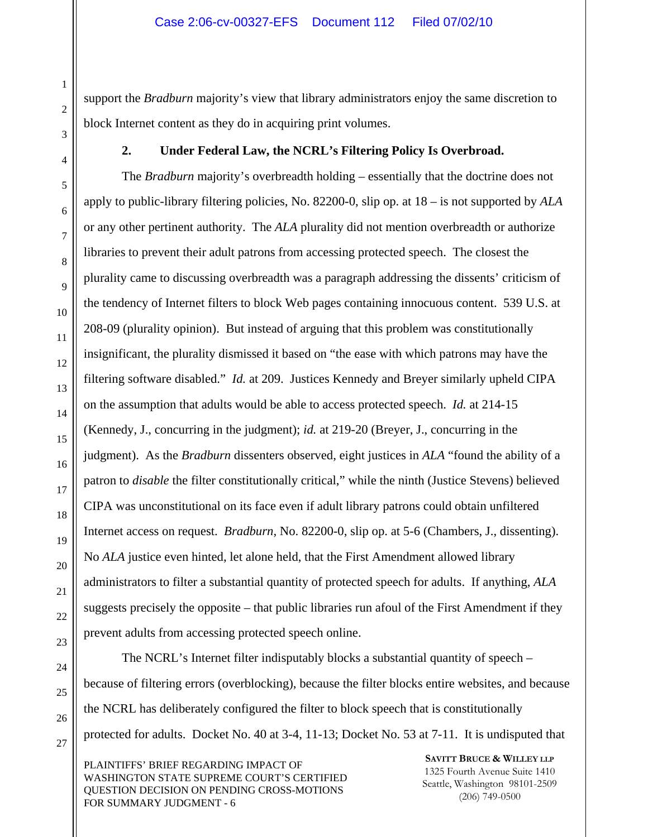support the *Bradburn* majority's view that library administrators enjoy the same discretion to block Internet content as they do in acquiring print volumes.

#### **2. Under Federal Law, the NCRL's Filtering Policy Is Overbroad.**

The *Bradburn* majority's overbreadth holding – essentially that the doctrine does not apply to public-library filtering policies, No. 82200-0, slip op. at 18 – is not supported by *ALA* or any other pertinent authority. The *ALA* plurality did not mention overbreadth or authorize libraries to prevent their adult patrons from accessing protected speech. The closest the plurality came to discussing overbreadth was a paragraph addressing the dissents' criticism of the tendency of Internet filters to block Web pages containing innocuous content. 539 U.S. at 208-09 (plurality opinion). But instead of arguing that this problem was constitutionally insignificant, the plurality dismissed it based on "the ease with which patrons may have the filtering software disabled." *Id.* at 209. Justices Kennedy and Breyer similarly upheld CIPA on the assumption that adults would be able to access protected speech. *Id.* at 214-15 (Kennedy, J., concurring in the judgment); *id.* at 219-20 (Breyer, J., concurring in the judgment). As the *Bradburn* dissenters observed, eight justices in *ALA* "found the ability of a patron to *disable* the filter constitutionally critical," while the ninth (Justice Stevens) believed CIPA was unconstitutional on its face even if adult library patrons could obtain unfiltered Internet access on request. *Bradburn*, No. 82200-0, slip op. at 5-6 (Chambers, J., dissenting). No *ALA* justice even hinted, let alone held, that the First Amendment allowed library administrators to filter a substantial quantity of protected speech for adults. If anything, *ALA* suggests precisely the opposite – that public libraries run afoul of the First Amendment if they prevent adults from accessing protected speech online.

The NCRL's Internet filter indisputably blocks a substantial quantity of speech – because of filtering errors (overblocking), because the filter blocks entire websites, and because the NCRL has deliberately configured the filter to block speech that is constitutionally protected for adults. Docket No. 40 at 3-4, 11-13; Docket No. 53 at 7-11. It is undisputed that

PLAINTIFFS' BRIEF REGARDING IMPACT OF WASHINGTON STATE SUPREME COURT'S CERTIFIED QUESTION DECISION ON PENDING CROSS-MOTIONS FOR SUMMARY JUDGMENT - 6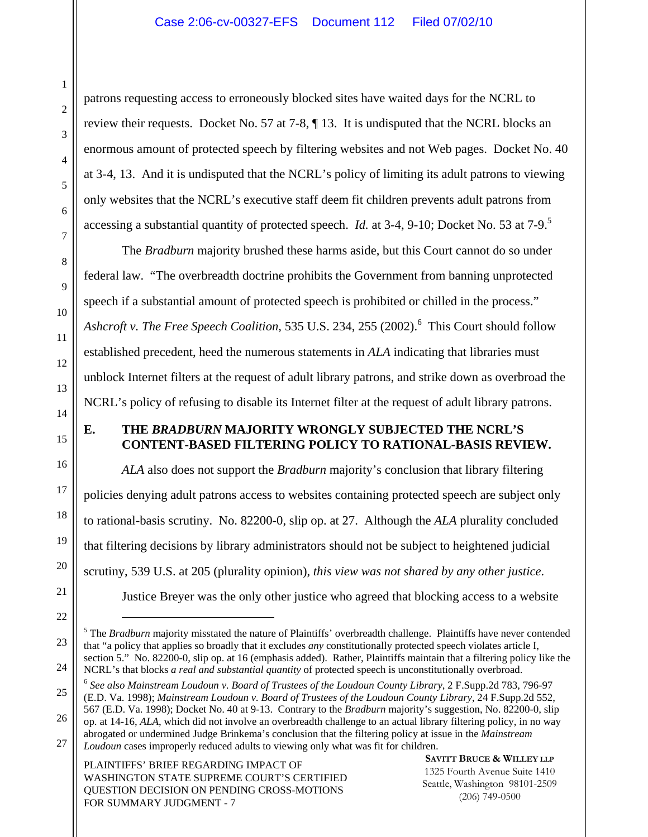patrons requesting access to erroneously blocked sites have waited days for the NCRL to review their requests. Docket No. 57 at 7-8, ¶ 13. It is undisputed that the NCRL blocks an enormous amount of protected speech by filtering websites and not Web pages. Docket No. 40 at 3-4, 13. And it is undisputed that the NCRL's policy of limiting its adult patrons to viewing only websites that the NCRL's executive staff deem fit children prevents adult patrons from accessing a substantial quantity of protected speech. *Id.* at 3-4, 9-10; Docket No. 53 at 7-9.5

The *Bradburn* majority brushed these harms aside, but this Court cannot do so under federal law. "The overbreadth doctrine prohibits the Government from banning unprotected speech if a substantial amount of protected speech is prohibited or chilled in the process." Ashcroft v. The Free Speech Coalition, 535 U.S. 234, 255 (2002).<sup>6</sup> This Court should follow established precedent, heed the numerous statements in *ALA* indicating that libraries must unblock Internet filters at the request of adult library patrons, and strike down as overbroad the NCRL's policy of refusing to disable its Internet filter at the request of adult library patrons.

# **E. THE** *BRADBURN* **MAJORITY WRONGLY SUBJECTED THE NCRL'S CONTENT-BASED FILTERING POLICY TO RATIONAL-BASIS REVIEW.**

*ALA* also does not support the *Bradburn* majority's conclusion that library filtering policies denying adult patrons access to websites containing protected speech are subject only to rational-basis scrutiny. No. 82200-0, slip op. at 27. Although the *ALA* plurality concluded that filtering decisions by library administrators should not be subject to heightened judicial scrutiny, 539 U.S. at 205 (plurality opinion), *this view was not shared by any other justice*. Justice Breyer was the only other justice who agreed that blocking access to a website

*Loudoun* cases improperly reduced adults to viewing only what was fit for children.

PLAINTIFFS' BRIEF REGARDING IMPACT OF WASHINGTON STATE SUPREME COURT'S CERTIFIED QUESTION DECISION ON PENDING CROSS-MOTIONS FOR SUMMARY JUDGMENT - 7

<sup>&</sup>lt;sup>5</sup> The *Bradburn* majority misstated the nature of Plaintiffs' overbreadth challenge. Plaintiffs have never contended that "a policy that applies so broadly that it excludes *any* constitutionally protected speech violates article I, section 5." No. 82200-0, slip op. at 16 (emphasis added). Rather, Plaintiffs maintain that a filtering policy like the NCRL's that blocks *a real and substantial quantity* of protected speech is unconstitutionally overbroad.

<sup>6</sup> *See also Mainstream Loudoun v. Board of Trustees of the Loudoun County Library*, 2 F.Supp.2d 783, 796-97 (E.D. Va. 1998); *Mainstream Loudoun v. Board of Trustees of the Loudoun County Library*, 24 F.Supp.2d 552, 567 (E.D. Va. 1998); Docket No. 40 at 9-13. Contrary to the *Bradburn* majority's suggestion, No. 82200-0, slip

op. at 14-16, *ALA*, which did not involve an overbreadth challenge to an actual library filtering policy, in no way abrogated or undermined Judge Brinkema's conclusion that the filtering policy at issue in the *Mainstream*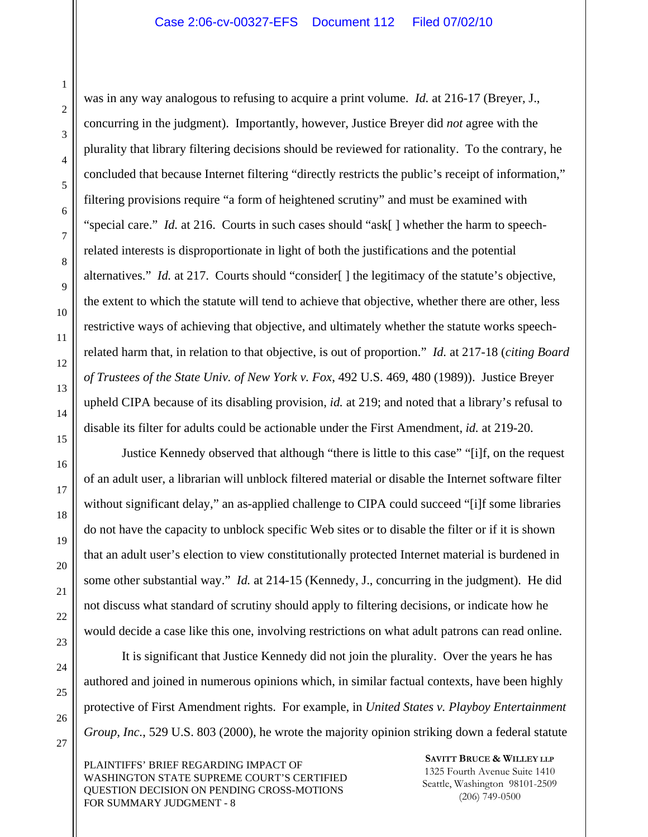was in any way analogous to refusing to acquire a print volume. *Id.* at 216-17 (Breyer, J., concurring in the judgment). Importantly, however, Justice Breyer did *not* agree with the plurality that library filtering decisions should be reviewed for rationality. To the contrary, he concluded that because Internet filtering "directly restricts the public's receipt of information," filtering provisions require "a form of heightened scrutiny" and must be examined with "special care." *Id.* at 216. Courts in such cases should "ask[ ] whether the harm to speechrelated interests is disproportionate in light of both the justifications and the potential alternatives." *Id.* at 217. Courts should "consider" | the legitimacy of the statute's objective, the extent to which the statute will tend to achieve that objective, whether there are other, less restrictive ways of achieving that objective, and ultimately whether the statute works speechrelated harm that, in relation to that objective, is out of proportion." *Id.* at 217-18 (*citing Board of Trustees of the State Univ. of New York v. Fox*, 492 U.S. 469, 480 (1989)). Justice Breyer upheld CIPA because of its disabling provision, *id.* at 219; and noted that a library's refusal to disable its filter for adults could be actionable under the First Amendment, *id.* at 219-20.

Justice Kennedy observed that although "there is little to this case" "[i]f, on the request of an adult user, a librarian will unblock filtered material or disable the Internet software filter without significant delay," an as-applied challenge to CIPA could succeed "[i]f some libraries do not have the capacity to unblock specific Web sites or to disable the filter or if it is shown that an adult user's election to view constitutionally protected Internet material is burdened in some other substantial way." *Id.* at 214-15 (Kennedy, J., concurring in the judgment). He did not discuss what standard of scrutiny should apply to filtering decisions, or indicate how he would decide a case like this one, involving restrictions on what adult patrons can read online.

It is significant that Justice Kennedy did not join the plurality. Over the years he has authored and joined in numerous opinions which, in similar factual contexts, have been highly protective of First Amendment rights. For example, in *United States v. Playboy Entertainment Group, Inc.*, 529 U.S. 803 (2000), he wrote the majority opinion striking down a federal statute

PLAINTIFFS' BRIEF REGARDING IMPACT OF WASHINGTON STATE SUPREME COURT'S CERTIFIED QUESTION DECISION ON PENDING CROSS-MOTIONS FOR SUMMARY JUDGMENT - 8

**SAVITT BRUCE & WILLEY LLP** 1325 Fourth Avenue Suite 1410 Seattle, Washington 98101-2509 (206) 749-0500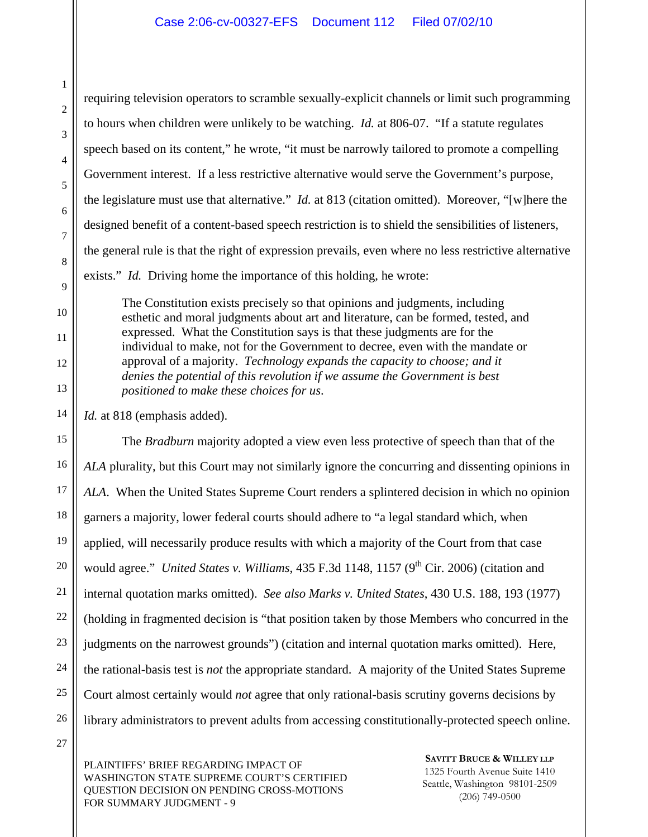requiring television operators to scramble sexually-explicit channels or limit such programming to hours when children were unlikely to be watching. *Id.* at 806-07. "If a statute regulates speech based on its content," he wrote, "it must be narrowly tailored to promote a compelling Government interest. If a less restrictive alternative would serve the Government's purpose, the legislature must use that alternative." *Id.* at 813 (citation omitted). Moreover, "[w]here the designed benefit of a content-based speech restriction is to shield the sensibilities of listeners, the general rule is that the right of expression prevails, even where no less restrictive alternative exists." *Id.* Driving home the importance of this holding, he wrote:

The Constitution exists precisely so that opinions and judgments, including esthetic and moral judgments about art and literature, can be formed, tested, and expressed. What the Constitution says is that these judgments are for the individual to make, not for the Government to decree, even with the mandate or approval of a majority. *Technology expands the capacity to choose; and it denies the potential of this revolution if we assume the Government is best positioned to make these choices for us*.

*Id.* at 818 (emphasis added).

15 16 17 18 19 20 21 22 23 24 25 26 The *Bradburn* majority adopted a view even less protective of speech than that of the *ALA* plurality, but this Court may not similarly ignore the concurring and dissenting opinions in *ALA*. When the United States Supreme Court renders a splintered decision in which no opinion garners a majority, lower federal courts should adhere to "a legal standard which, when applied, will necessarily produce results with which a majority of the Court from that case would agree." *United States v. Williams*, 435 F.3d 1148, 1157 (9<sup>th</sup> Cir. 2006) (citation and internal quotation marks omitted). *See also Marks v. United States*, 430 U.S. 188, 193 (1977) (holding in fragmented decision is "that position taken by those Members who concurred in the judgments on the narrowest grounds") (citation and internal quotation marks omitted). Here, the rational-basis test is *not* the appropriate standard. A majority of the United States Supreme Court almost certainly would *not* agree that only rational-basis scrutiny governs decisions by library administrators to prevent adults from accessing constitutionally-protected speech online.

27

1

2

3

4

5

6

7

8

9

10

11

12

13

14

PLAINTIFFS' BRIEF REGARDING IMPACT OF WASHINGTON STATE SUPREME COURT'S CERTIFIED QUESTION DECISION ON PENDING CROSS-MOTIONS FOR SUMMARY JUDGMENT - 9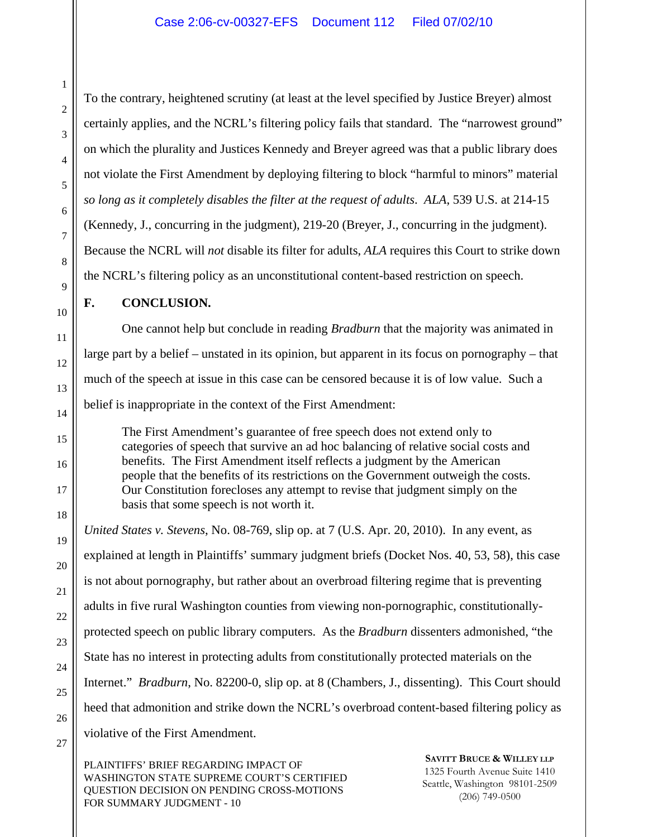To the contrary, heightened scrutiny (at least at the level specified by Justice Breyer) almost certainly applies, and the NCRL's filtering policy fails that standard. The "narrowest ground" on which the plurality and Justices Kennedy and Breyer agreed was that a public library does not violate the First Amendment by deploying filtering to block "harmful to minors" material *so long as it completely disables the filter at the request of adults*. *ALA*, 539 U.S. at 214-15 (Kennedy, J., concurring in the judgment), 219-20 (Breyer, J., concurring in the judgment). Because the NCRL will *not* disable its filter for adults, *ALA* requires this Court to strike down the NCRL's filtering policy as an unconstitutional content-based restriction on speech.

# **F. CONCLUSION.**

One cannot help but conclude in reading *Bradburn* that the majority was animated in large part by a belief – unstated in its opinion, but apparent in its focus on pornography – that much of the speech at issue in this case can be censored because it is of low value. Such a belief is inappropriate in the context of the First Amendment:

The First Amendment's guarantee of free speech does not extend only to categories of speech that survive an ad hoc balancing of relative social costs and benefits. The First Amendment itself reflects a judgment by the American people that the benefits of its restrictions on the Government outweigh the costs. Our Constitution forecloses any attempt to revise that judgment simply on the basis that some speech is not worth it.

*United States v. Stevens*, No. 08-769, slip op. at 7 (U.S. Apr. 20, 2010). In any event, as explained at length in Plaintiffs' summary judgment briefs (Docket Nos. 40, 53, 58), this case is not about pornography, but rather about an overbroad filtering regime that is preventing adults in five rural Washington counties from viewing non-pornographic, constitutionallyprotected speech on public library computers. As the *Bradburn* dissenters admonished, "the State has no interest in protecting adults from constitutionally protected materials on the Internet." *Bradburn*, No. 82200-0, slip op. at 8 (Chambers, J., dissenting). This Court should heed that admonition and strike down the NCRL's overbroad content-based filtering policy as violative of the First Amendment.

PLAINTIFFS' BRIEF REGARDING IMPACT OF WASHINGTON STATE SUPREME COURT'S CERTIFIED QUESTION DECISION ON PENDING CROSS-MOTIONS FOR SUMMARY JUDGMENT - 10